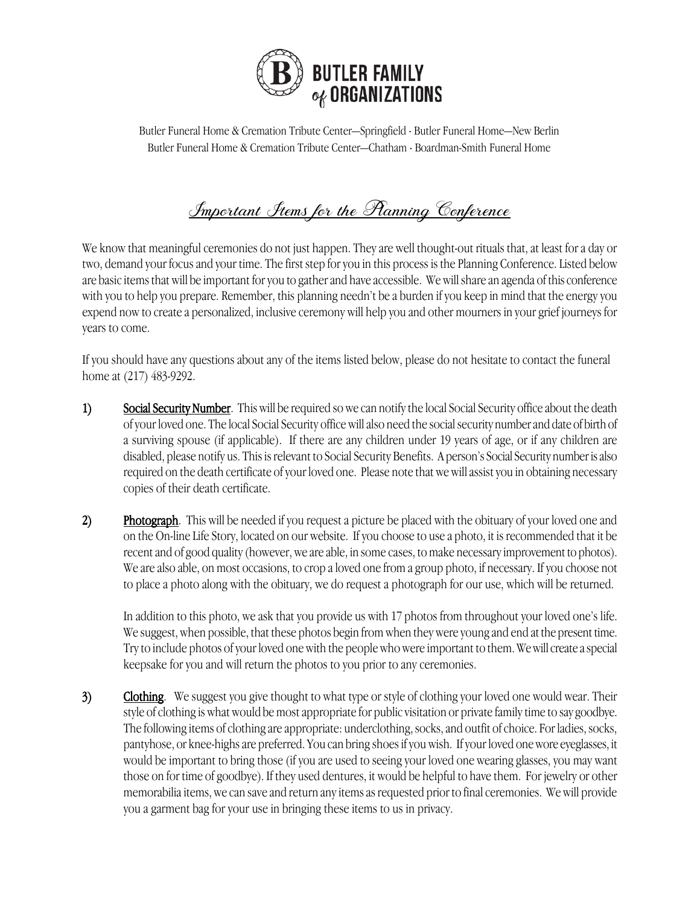

Butler Funeral Home & Cremation Tribute Center—Springfield · Butler Funeral Home—New Berlin Butler Funeral Home & Cremation Tribute Center—Chatham · Boardman-Smith Funeral Home

## Important Stems for the Planning Conference

We know that meaningful ceremonies do not just happen. They are well thought-out rituals that, at least for a day or two, demand your focus and your time. The first step for you in this process is the Planning Conference. Listed below are basic items that will be important for you to gather and have accessible. We will share an agenda of this conference with you to help you prepare. Remember, this planning needn't be a burden if you keep in mind that the energy you expend now to create a personalized, inclusive ceremony will help you and other mourners in your grief journeys for years to come.

If you should have any questions about any of the items listed below, please do not hesitate to contact the funeral home at (217) 483-9292.

- 1) Social Security Number. This will be required so we can notify the local Social Security office about the death of your loved one. The local Social Security office will also need the social security number and date of birth of a surviving spouse (if applicable). If there are any children under 19 years of age, or if any children are disabled, please notify us. This is relevant to Social Security Benefits. A person's Social Security number is also required on the death certificate of your loved one. Please note that we will assist you in obtaining necessary copies of their death certificate.
- 2) Photograph. This will be needed if you request a picture be placed with the obituary of your loved one and on the On-line Life Story, located on our website. If you choose to use a photo, it is recommended that it be recentand of good quality (however, we are able, in some cases, to make necessary improvement to photos). We are also able, on most occasions, to crop a loved one from a group photo, if necessary. If you choose not to place a photo along with the obituary, we do request a photograph for our use, which will be returned.

In addition to this photo, we ask that you provide us with 17 photos from throughout your loved one's life. We suggest, when possible, that these photos begin from when they were young and end at the present time. Try to include photos of your loved one with the people who were important to them. We will create a special keepsake for you and will return the photos to you prior to any ceremonies.

3) Clothing. We suggest you give thought to what type or style of clothing your loved one would wear. Their style of clothing is what would be most appropriate for public visitation or private family time to say goodbye. The following items of clothing are appropriate: underclothing, socks, and outfit of choice. For ladies, socks, pantyhose, or knee-highs are preferred. You can bring shoes if you wish. If your loved one wore eyeglasses, it would be important to bring those (if you are used to seeing your loved one wearing glasses, you may want those on for time of goodbye). If they used dentures, it would be helpful to have them. For jewelry or other memorabilia items, we can save and return any items as requested prior to final ceremonies. We will provide you a garment bag for your use in bringing these items to us in privacy.